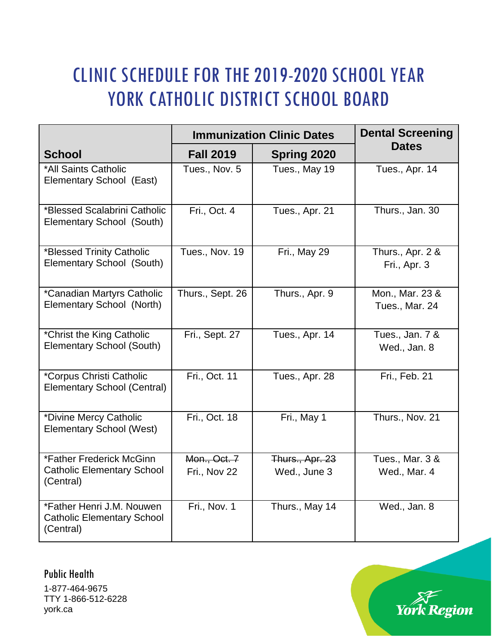## CLINIC SCHEDULE FOR THE 2019-2020 SCHOOL YEAR YORK CATHOLIC DISTRICT SCHOOL BOARD

|                                                                             | <b>Immunization Clinic Dates</b> |                                        | <b>Dental Screening</b>           |
|-----------------------------------------------------------------------------|----------------------------------|----------------------------------------|-----------------------------------|
| <b>School</b>                                                               | <b>Fall 2019</b>                 | Spring 2020                            | <b>Dates</b>                      |
| *All Saints Catholic<br>Elementary School (East)                            | Tues., Nov. 5                    | Tues., May 19                          | Tues., Apr. 14                    |
| *Blessed Scalabrini Catholic<br>Elementary School (South)                   | Fri., Oct. 4                     | Tues., Apr. 21                         | Thurs., Jan. 30                   |
| *Blessed Trinity Catholic<br>Elementary School (South)                      | Tues., Nov. 19                   | Fri., May 29                           | Thurs., Apr. 2 &<br>Fri., Apr. 3  |
| *Canadian Martyrs Catholic<br>Elementary School (North)                     | Thurs., Sept. 26                 | Thurs., Apr. 9                         | Mon., Mar. 23 &<br>Tues., Mar. 24 |
| *Christ the King Catholic<br>Elementary School (South)                      | Fri., Sept. 27                   | Tues., Apr. 14                         | Tues., Jan. 7 &<br>Wed., Jan. 8   |
| *Corpus Christi Catholic<br><b>Elementary School (Central)</b>              | Fri., Oct. 11                    | Tues., Apr. 28                         | Fri., Feb. 21                     |
| *Divine Mercy Catholic<br><b>Elementary School (West)</b>                   | Fri., Oct. 18                    | Fri., May 1                            | Thurs., Nov. 21                   |
| *Father Frederick McGinn<br><b>Catholic Elementary School</b><br>(Central)  | Mon., Oct. 7<br>Fri., Nov 22     | <b>Thurs., Apr. 23</b><br>Wed., June 3 | Tues., Mar. 3 &<br>Wed., Mar. 4   |
| *Father Henri J.M. Nouwen<br><b>Catholic Elementary School</b><br>(Central) | Fri., Nov. 1                     | Thurs., May 14                         | Wed., Jan. 8                      |

Public Health

1-877-464-9675 TTY 1-866-512-6228 york.ca

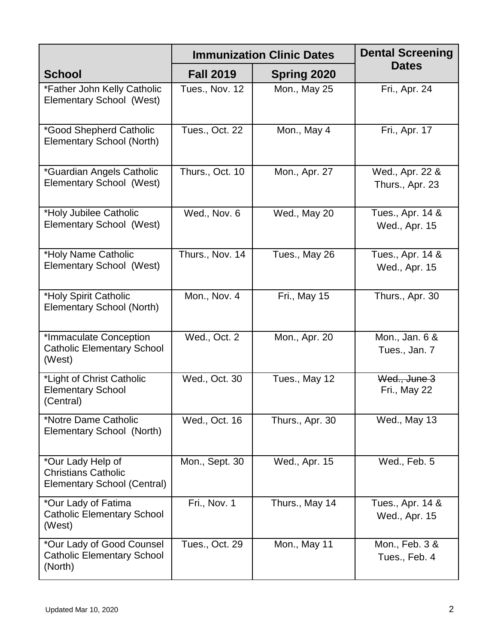|                                                                                       | <b>Immunization Clinic Dates</b> | <b>Dental Screening</b> |                                    |
|---------------------------------------------------------------------------------------|----------------------------------|-------------------------|------------------------------------|
| <b>School</b>                                                                         | <b>Fall 2019</b>                 | Spring 2020             | <b>Dates</b>                       |
| *Father John Kelly Catholic<br>Elementary School (West)                               | Tues., Nov. 12                   | Mon., May 25            | Fri., Apr. 24                      |
| *Good Shepherd Catholic<br><b>Elementary School (North)</b>                           | Tues., Oct. 22                   | Mon., May 4             | Fri., Apr. 17                      |
| *Guardian Angels Catholic<br>Elementary School (West)                                 | Thurs., Oct. 10                  | Mon., Apr. 27           | Wed., Apr. 22 &<br>Thurs., Apr. 23 |
| *Holy Jubilee Catholic<br>Elementary School (West)                                    | Wed., Nov. 6                     | Wed., May 20            | Tues., Apr. 14 &<br>Wed., Apr. 15  |
| *Holy Name Catholic<br>Elementary School (West)                                       | Thurs., Nov. 14                  | Tues., May 26           | Tues., Apr. 14 &<br>Wed., Apr. 15  |
| *Holy Spirit Catholic<br>Elementary School (North)                                    | Mon., Nov. 4                     | Fri., May 15            | Thurs., Apr. 30                    |
| *Immaculate Conception<br><b>Catholic Elementary School</b><br>(West)                 | Wed., Oct. 2                     | Mon., Apr. 20           | Mon., Jan. 6 &<br>Tues., Jan. 7    |
| *Light of Christ Catholic<br><b>Elementary School</b><br>(Central)                    | Wed., Oct. 30                    | Tues., May 12           | Wed., June 3<br>Fri., May 22       |
| *Notre Dame Catholic<br>Elementary School (North)                                     | Wed., Oct. 16                    | Thurs., Apr. 30         | Wed., May 13                       |
| *Our Lady Help of<br><b>Christians Catholic</b><br><b>Elementary School (Central)</b> | Mon., Sept. 30                   | Wed., Apr. 15           | Wed., Feb. 5                       |
| *Our Lady of Fatima<br><b>Catholic Elementary School</b><br>(West)                    | Fri., Nov. 1                     | Thurs., May 14          | Tues., Apr. 14 &<br>Wed., Apr. 15  |
| *Our Lady of Good Counsel<br><b>Catholic Elementary School</b><br>(North)             | Tues., Oct. 29                   | Mon., May 11            | Mon., Feb. 3 &<br>Tues., Feb. 4    |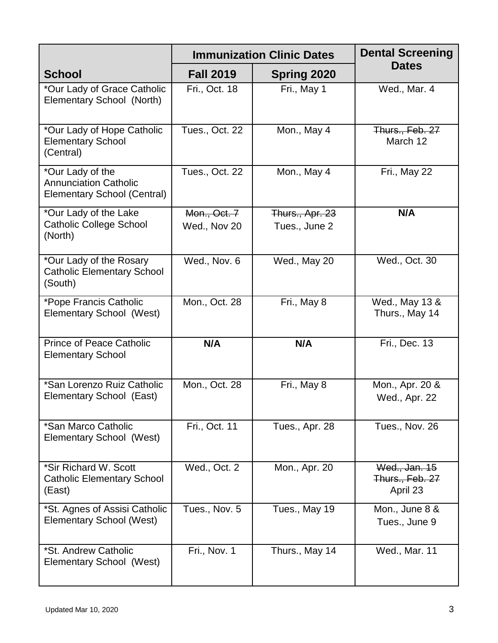|                                                                                        | <b>Immunization Clinic Dates</b> | <b>Dental Screening</b> |                                              |
|----------------------------------------------------------------------------------------|----------------------------------|-------------------------|----------------------------------------------|
| <b>School</b>                                                                          | <b>Fall 2019</b>                 | <b>Spring 2020</b>      | <b>Dates</b>                                 |
| *Our Lady of Grace Catholic<br>Elementary School (North)                               | Fri., Oct. 18                    | Fri., May 1             | Wed., Mar. 4                                 |
| *Our Lady of Hope Catholic<br><b>Elementary School</b><br>(Central)                    | Tues., Oct. 22                   | Mon., May 4             | Thurs., Feb. 27<br>March 12                  |
| *Our Lady of the<br><b>Annunciation Catholic</b><br><b>Elementary School (Central)</b> | Tues., Oct. 22                   | Mon., May 4             | Fri., May 22                                 |
| *Our Lady of the Lake                                                                  | Mon., Oct. 7                     | Thurs., Apr. 23         | N/A                                          |
| <b>Catholic College School</b><br>(North)                                              | Wed., Nov 20                     | Tues., June 2           |                                              |
| *Our Lady of the Rosary<br><b>Catholic Elementary School</b><br>(South)                | Wed., Nov. 6                     | Wed., May 20            | Wed., Oct. 30                                |
| *Pope Francis Catholic<br>Elementary School (West)                                     | Mon., Oct. 28                    | Fri., May 8             | Wed., May 13 &<br>Thurs., May 14             |
| <b>Prince of Peace Catholic</b><br><b>Elementary School</b>                            | N/A                              | N/A                     | Fri., Dec. 13                                |
| *San Lorenzo Ruiz Catholic<br>Elementary School (East)                                 | Mon., Oct. 28                    | Fri., May 8             | Mon., Apr. 20 &<br>Wed., Apr. 22             |
| *San Marco Catholic<br>Elementary School (West)                                        | Fri., Oct. 11                    | Tues., Apr. 28          | Tues., Nov. 26                               |
| *Sir Richard W. Scott<br><b>Catholic Elementary School</b><br>(East)                   | Wed., Oct. 2                     | Mon., Apr. 20           | Wed., Jan. 15<br>Thurs., Feb. 27<br>April 23 |
| *St. Agnes of Assisi Catholic<br><b>Elementary School (West)</b>                       | Tues., Nov. 5                    | Tues., May 19           | Mon., June 8 &<br>Tues., June 9              |
| *St. Andrew Catholic<br>Elementary School (West)                                       | Fri., Nov. 1                     | Thurs., May 14          | Wed., Mar. 11                                |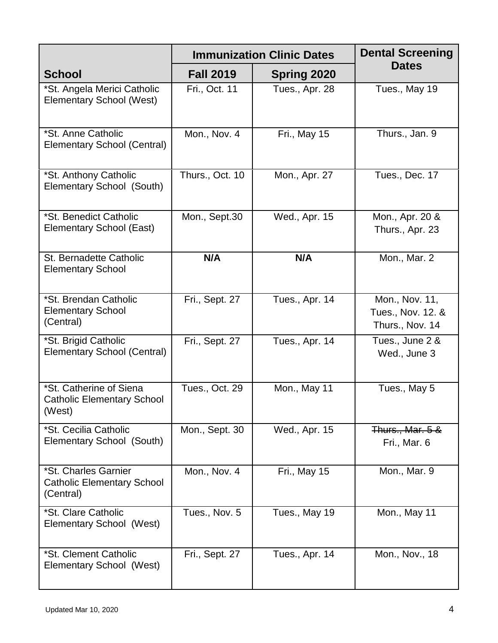|                                                                        | <b>Immunization Clinic Dates</b> | <b>Dental Screening</b> |                                                        |
|------------------------------------------------------------------------|----------------------------------|-------------------------|--------------------------------------------------------|
| <b>School</b>                                                          | <b>Fall 2019</b>                 | <b>Spring 2020</b>      | <b>Dates</b>                                           |
| *St. Angela Merici Catholic<br><b>Elementary School (West)</b>         | Fri., Oct. 11                    | Tues., Apr. 28          | Tues., May 19                                          |
| *St. Anne Catholic<br>Elementary School (Central)                      | Mon., Nov. 4                     | Fri., May 15            | Thurs., Jan. 9                                         |
| *St. Anthony Catholic<br>Elementary School (South)                     | Thurs., Oct. 10                  | Mon., Apr. 27           | Tues., Dec. 17                                         |
| *St. Benedict Catholic<br>Elementary School (East)                     | Mon., Sept.30                    | Wed., Apr. 15           | Mon., Apr. 20 &<br>Thurs., Apr. 23                     |
| St. Bernadette Catholic<br><b>Elementary School</b>                    | N/A                              | N/A                     | Mon., Mar. 2                                           |
| *St. Brendan Catholic<br><b>Elementary School</b><br>(Central)         | Fri., Sept. 27                   | Tues., Apr. 14          | Mon., Nov. 11,<br>Tues., Nov. 12. &<br>Thurs., Nov. 14 |
| *St. Brigid Catholic<br><b>Elementary School (Central)</b>             | Fri., Sept. 27                   | Tues., Apr. 14          | Tues., June 2 &<br>Wed., June 3                        |
| *St. Catherine of Siena<br><b>Catholic Elementary School</b><br>(West) | Tues., Oct. 29                   | Mon., May 11            | Tues., May 5                                           |
| *St. Cecilia Catholic<br>Elementary School (South)                     | Mon., Sept. 30                   | Wed., Apr. 15           | <b>Thurs., Mar. 5 &amp;</b><br>Fri., Mar. 6            |
| *St. Charles Garnier<br><b>Catholic Elementary School</b><br>(Central) | Mon., Nov. 4                     | Fri., May 15            | Mon., Mar. 9                                           |
| *St. Clare Catholic<br>Elementary School (West)                        | Tues., Nov. 5                    | Tues., May 19           | Mon., May 11                                           |
| *St. Clement Catholic<br>Elementary School (West)                      | Fri., Sept. 27                   | Tues., Apr. 14          | Mon., Nov., 18                                         |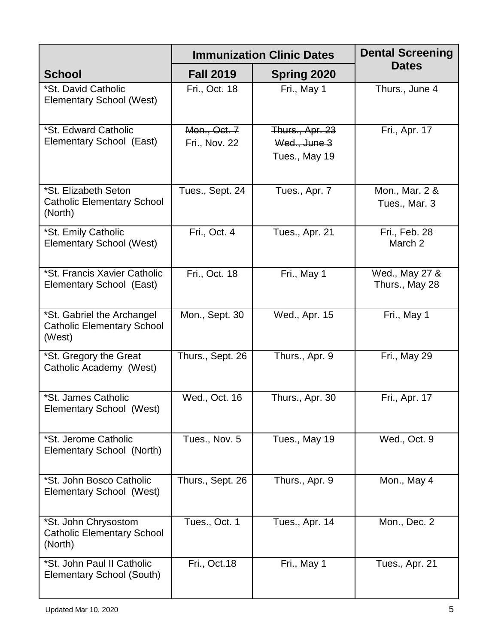|                                                                           | <b>Immunization Clinic Dates</b> | <b>Dental Screening</b>                          |                                  |
|---------------------------------------------------------------------------|----------------------------------|--------------------------------------------------|----------------------------------|
| <b>School</b>                                                             | <b>Fall 2019</b>                 | Spring 2020                                      | <b>Dates</b>                     |
| *St. David Catholic<br><b>Elementary School (West)</b>                    | Fri., Oct. 18                    | Fri., May 1                                      | Thurs., June 4                   |
| *St. Edward Catholic<br>Elementary School (East)                          | Mon., Oct. 7<br>Fri., Nov. 22    | Thurs., Apr. 23<br>Wed., June 3<br>Tues., May 19 | Fri., Apr. 17                    |
| *St. Elizabeth Seton<br><b>Catholic Elementary School</b><br>(North)      | Tues., Sept. 24                  | Tues., Apr. 7                                    | Mon., Mar. 2 &<br>Tues., Mar. 3  |
| *St. Emily Catholic<br><b>Elementary School (West)</b>                    | Fri., Oct. 4                     | Tues., Apr. 21                                   | Fri., Feb. 28<br>March 2         |
| *St. Francis Xavier Catholic<br>Elementary School (East)                  | Fri., Oct. 18                    | Fri., May 1                                      | Wed., May 27 &<br>Thurs., May 28 |
| *St. Gabriel the Archangel<br><b>Catholic Elementary School</b><br>(West) | Mon., Sept. 30                   | Wed., Apr. 15                                    | Fri., May 1                      |
| *St. Gregory the Great<br>Catholic Academy (West)                         | Thurs., Sept. 26                 | Thurs., Apr. 9                                   | Fri., May 29                     |
| *St. James Catholic<br>Elementary School (West)                           | Wed., Oct. 16                    | Thurs., Apr. 30                                  | Fri., Apr. 17                    |
| *St. Jerome Catholic<br>Elementary School (North)                         | Tues., Nov. 5                    | Tues., May 19                                    | Wed., Oct. 9                     |
| *St. John Bosco Catholic<br>Elementary School (West)                      | Thurs., Sept. 26                 | Thurs., Apr. 9                                   | Mon., May 4                      |
| *St. John Chrysostom<br><b>Catholic Elementary School</b><br>(North)      | Tues., Oct. 1                    | Tues., Apr. 14                                   | Mon., Dec. 2                     |
| *St. John Paul II Catholic<br>Elementary School (South)                   | Fri., Oct.18                     | Fri., May 1                                      | Tues., Apr. 21                   |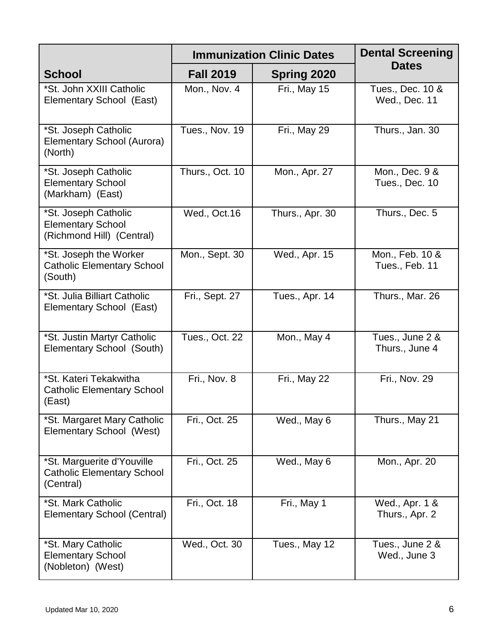|                                                                               | <b>Immunization Clinic Dates</b> | <b>Dental Screening</b> |                                   |
|-------------------------------------------------------------------------------|----------------------------------|-------------------------|-----------------------------------|
| <b>School</b>                                                                 | <b>Fall 2019</b>                 | <b>Spring 2020</b>      | <b>Dates</b>                      |
| *St. John XXIII Catholic<br>Elementary School (East)                          | Mon., Nov. 4                     | Fri., May 15            | Tues., Dec. 10 &<br>Wed., Dec. 11 |
| *St. Joseph Catholic<br>Elementary School (Aurora)<br>(North)                 | Tues., Nov. 19                   | Fri., May 29            | Thurs., Jan. 30                   |
| *St. Joseph Catholic<br><b>Elementary School</b><br>(Markham) (East)          | Thurs., Oct. 10                  | Mon., Apr. 27           | Mon., Dec. 9 &<br>Tues., Dec. 10  |
| *St. Joseph Catholic<br><b>Elementary School</b><br>(Richmond Hill) (Central) | Wed., Oct.16                     | Thurs., Apr. 30         | Thurs., Dec. 5                    |
| *St. Joseph the Worker<br><b>Catholic Elementary School</b><br>(South)        | Mon., Sept. 30                   | Wed., Apr. 15           | Mon., Feb. 10 &<br>Tues., Feb. 11 |
| *St. Julia Billiart Catholic<br>Elementary School (East)                      | Fri., Sept. 27                   | Tues., Apr. 14          | Thurs., Mar. 26                   |
| *St. Justin Martyr Catholic<br>Elementary School (South)                      | Tues., Oct. 22                   | Mon., May 4             | Tues., June 2 &<br>Thurs., June 4 |
| *St. Kateri Tekakwitha<br><b>Catholic Elementary School</b><br>(East)         | Fri., Nov. 8                     | Fri., May 22            | Fri., Nov. 29                     |
| *St. Margaret Mary Catholic<br>Elementary School (West)                       | Fri., Oct. 25                    | Wed., May 6             | Thurs., May 21                    |
| *St. Marguerite d'Youville<br><b>Catholic Elementary School</b><br>(Central)  | Fri., Oct. 25                    | Wed., May 6             | Mon., Apr. 20                     |
| *St. Mark Catholic<br><b>Elementary School (Central)</b>                      | Fri., Oct. 18                    | Fri., May 1             | Wed., Apr. 1 &<br>Thurs., Apr. 2  |
| *St. Mary Catholic<br><b>Elementary School</b><br>(Nobleton) (West)           | Wed., Oct. 30                    | Tues., May 12           | Tues., June 2 &<br>Wed., June 3   |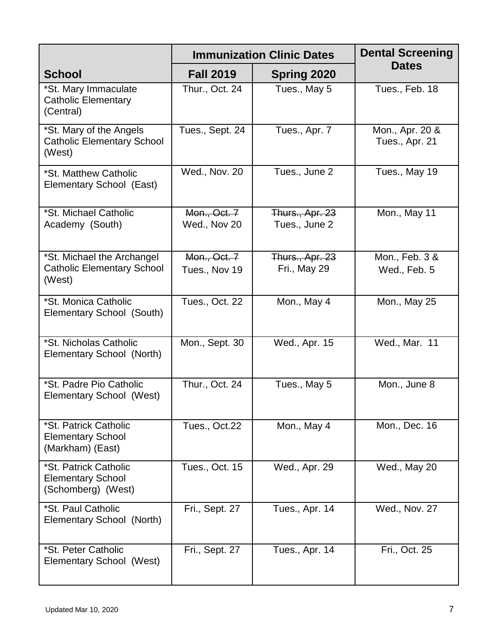|                                                                           | <b>Immunization Clinic Dates</b> | <b>Dental Screening</b>          |                                   |
|---------------------------------------------------------------------------|----------------------------------|----------------------------------|-----------------------------------|
| <b>School</b>                                                             | <b>Fall 2019</b>                 | <b>Spring 2020</b>               | <b>Dates</b>                      |
| *St. Mary Immaculate<br><b>Catholic Elementary</b><br>(Central)           | Thur., Oct. 24                   | Tues., May 5                     | Tues., Feb. 18                    |
| *St. Mary of the Angels<br><b>Catholic Elementary School</b><br>(West)    | Tues., Sept. 24                  | Tues., Apr. 7                    | Mon., Apr. 20 &<br>Tues., Apr. 21 |
| *St. Matthew Catholic<br>Elementary School (East)                         | Wed., Nov. 20                    | Tues., June 2                    | Tues., May 19                     |
| *St. Michael Catholic<br>Academy (South)                                  | Mon., Oct. 7<br>Wed., Nov 20     | Thurs., Apr. 23<br>Tues., June 2 | Mon., May 11                      |
| *St. Michael the Archangel<br><b>Catholic Elementary School</b><br>(West) | Mon., Oct. 7<br>Tues., Nov 19    | Thurs., Apr. 23<br>Fri., May 29  | Mon., Feb. 3 &<br>Wed., Feb. 5    |
| *St. Monica Catholic<br>Elementary School (South)                         | Tues., Oct. 22                   | Mon., May 4                      | Mon., May 25                      |
| *St. Nicholas Catholic<br>Elementary School (North)                       | Mon., Sept. 30                   | Wed., Apr. 15                    | Wed., Mar. 11                     |
| *St. Padre Pio Catholic<br>Elementary School (West)                       | Thur., Oct. 24                   | Tues., May 5                     | Mon., June 8                      |
| *St. Patrick Catholic<br><b>Elementary School</b><br>(Markham) (East)     | Tues., Oct.22                    | Mon., May 4                      | Mon., Dec. 16                     |
| *St. Patrick Catholic<br><b>Elementary School</b><br>(Schomberg) (West)   | Tues., Oct. 15                   | Wed., Apr. 29                    | Wed., May 20                      |
| *St. Paul Catholic<br>Elementary School (North)                           | Fri., Sept. 27                   | Tues., Apr. 14                   | Wed., Nov. 27                     |
| *St. Peter Catholic<br>Elementary School (West)                           | Fri., Sept. 27                   | Tues., Apr. 14                   | Fri., Oct. 25                     |